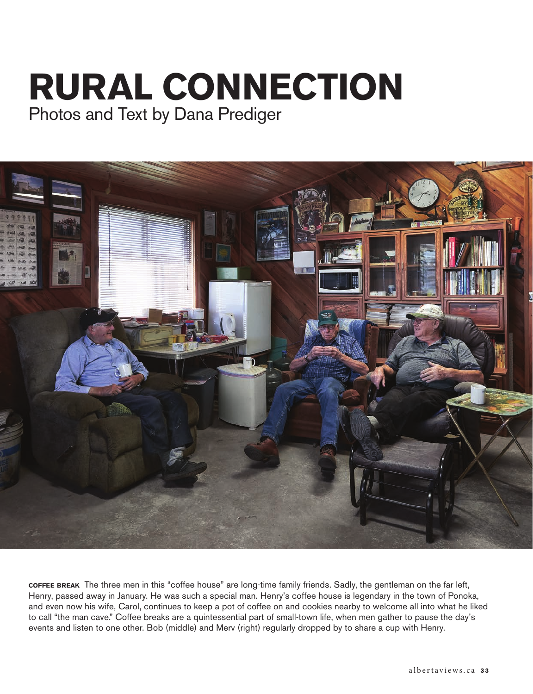## **RURAL CONNECTION** Photos and Text by Dana Prediger



**coffee break** The three men in this "coffee house" are long-time family friends. Sadly, the gentleman on the far left, Henry, passed away in January. He was such a special man. Henry's coffee house is legendary in the town of Ponoka, and even now his wife, Carol, continues to keep a pot of coffee on and cookies nearby to welcome all into what he liked to call "the man cave." Coffee breaks are a quintessential part of small-town life, when men gather to pause the day's events and listen to one other. Bob (middle) and Merv (right) regularly dropped by to share a cup with Henry.